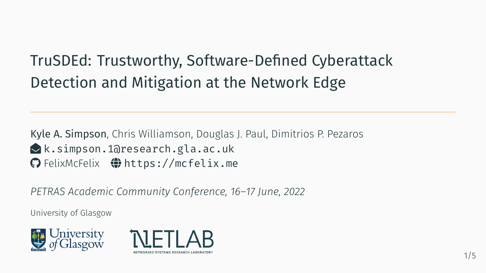# TruSDEd: Trustworthy, Software-Defined Cyberattack Detection and Mitigation at the Network Edge

Kyle A. Simpson, Chris Williamson, Douglas J. Paul, Dimitrios P. Pezaros  $\triangle$ [k.simpson.1@research.gla.ac.uk](mailto:k.simpson.1@research.gla.ac.uk) G [FelixMcFelix](https://github.com/FelixMcFelix)  $\bigoplus$  <https://mcfelix.me>

*PETRAS Academic Community Conference, 16–17 June, 2022*

University of Glasgow



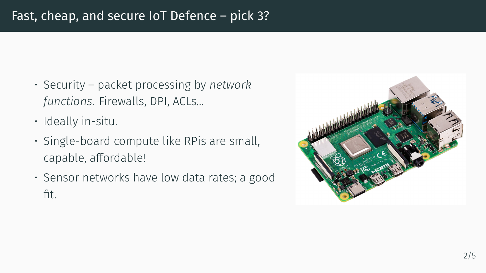#### Fast, cheap, and secure IoT Defence – pick 3?

- Security packet processing by *network functions*. Firewalls, DPI, ACLs...
- Ideally in-situ.
- Single-board compute like RPis are small, capable, affordable!
- Sensor networks have low data rates; a good fit.

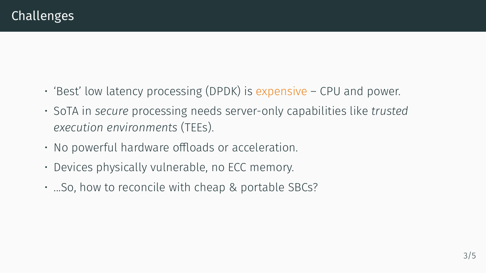- 'Best' low latency processing (DPDK) is expensive CPU and power.
- SoTA in *secure* processing needs server-only capabilities like *trusted execution environments* (TEEs).
- No powerful hardware offloads or acceleration.
- Devices physically vulnerable, no ECC memory.
- ...So, how to reconcile with cheap & portable SBCs?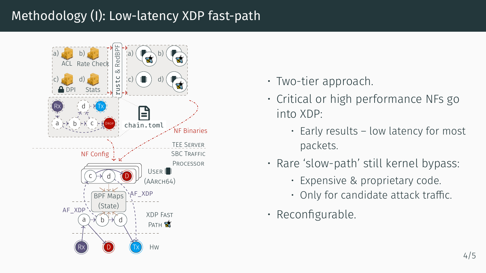#### Methodology (I): Low-latency XDP fast-path



- Two-tier approach.
- Critical or high performance NFs go into XDP:
	- Early results low latency for most packets.
- Rare 'slow-path' still kernel bypass:
	- Expensive & proprietary code.
	- Only for candidate attack traffic.
- Reconfigurable.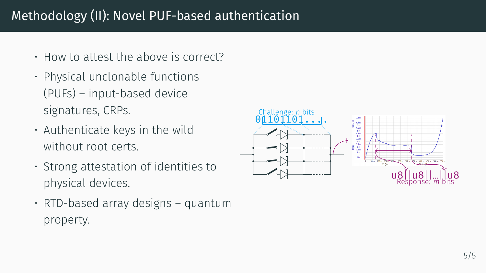#### Methodology (II): Novel PUF-based authentication

- How to attest the above is correct?
- Physical unclonable functions (PUFs) – input-based device signatures, CRPs.
- Authenticate keys in the wild without root certs.
- Strong attestation of identities to physical devices.
- $\cdot$  RTD-based array designs quantum property.